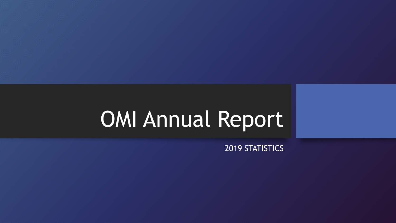# OMI Annual Report

2019 STATISTICS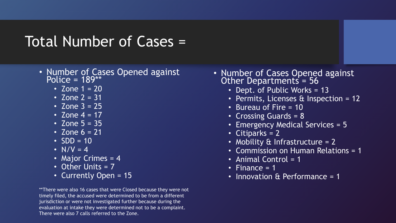### Total Number of Cases =

- Number of Cases Opened against Police = 189\*\*
	- Zone  $1 = 20$
	- Zone  $2 = 31$
	- Zone  $3 = 25$
	- Zone  $4 = 17'$
	- Zone  $5 = 35$
	- Zone  $6 = 21$
	- $\cdot$  SDD = 10
	- $N/V = 4$
	- Major Crimes = 4
	- Other Units = 7
	- Currently Open = 15

\*\*There were also 16 cases that were Closed because they were not timely filed, the accused were determined to be from a different jurisdiction or were not investigated further because during the evaluation at intake they were determined not to be a complaint. There were also 7 calls referred to the Zone.

- Number of Cases Opened against Other Departments = 56
	- Dept. of Public Works = 13
	- Permits, Licenses & Inspection = 12
	- Bureau of Fire = 10
	- Crossing Guards = 8
	- Emergency Medical Services = 5
	- Citiparks = 2
	- Mobility & Infrastructure = 2
	- Commission on Human Relations = 1
	- Animal Control = 1
	- Finance  $= 1$
	- Innovation & Performance = 1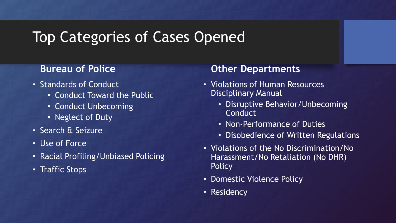### Top Categories of Cases Opened

### **Bureau of Police**

- Standards of Conduct
	- Conduct Toward the Public
	- Conduct Unbecoming
	- Neglect of Duty
- Search & Seizure
- Use of Force
- Racial Profiling/Unbiased Policing
- Traffic Stops

### **Other Departments**

- Violations of Human Resources Disciplinary Manual
	- Disruptive Behavior/Unbecoming **Conduct**
	- Non-Performance of Duties
	- Disobedience of Written Regulations
- Violations of the No Discrimination/No Harassment/No Retaliation (No DHR) **Policy**
- Domestic Violence Policy
- Residency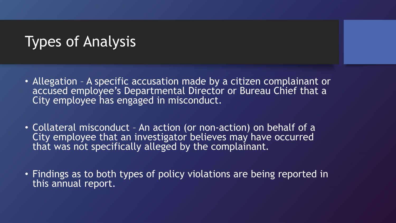# Types of Analysis

- Allegation A specific accusation made by a citizen complainant or accused employee's Departmental Director or Bureau Chief that a City employee has engaged in misconduct.
- Collateral misconduct An action (or non-action) on behalf of a City employee that an investigator believes may have occurred that was not specifically alleged by the complainant.
- Findings as to both types of policy violations are being reported in this annual report.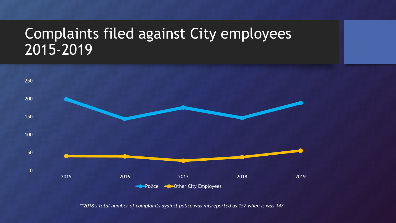### Complaints filed against City employees 2015-2019



*\*\*2018's total number of complaints against police was misreported as 157 when is was 147*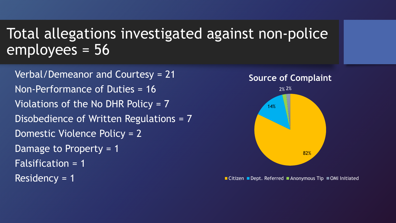# Total allegations investigated against non-police employees = 56

Verbal/Demeanor and Courtesy = 21 Non-Performance of Duties = 16 Violations of the No DHR Policy = 7 Disobedience of Written Regulations = 7 Domestic Violence Policy = 2 Damage to Property = 1 Falsification = 1 Residency = 1



■ Citizen ■ Dept. Referred ■ Anonymous Tip ■ OMI Initiated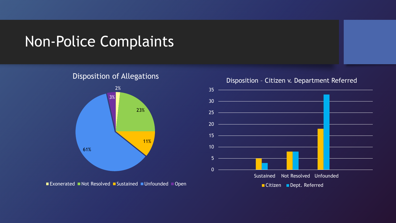### Non-Police Complaints

Disposition of Allegations



Exonerated Not Resolved Sustained Unfounded Open



Disposition – Citizen v. Department Referred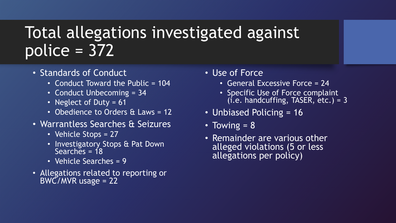# Total allegations investigated against police = 372

- Standards of Conduct
	- Conduct Toward the Public = 104
	- Conduct Unbecoming = 34
	- Neglect of Duty = 61
	- Obedience to Orders & Laws = 12
- Warrantless Searches & Seizures
	- Vehicle Stops = 27
	- Investigatory Stops & Pat Down Searches =  $18$
	- Vehicle Searches = 9
- Allegations related to reporting or BWC/MVR usage = 22
- Use of Force
	- General Excessive Force = 24
	- Specific Use of Force complaint  $(i.e.$  handcuffing, TASER,  $etc.$ ) = 3
- Unbiased Policing = 16
- Towing  $= 8$
- Remainder are various other alleged violations (5 or less allegations per policy)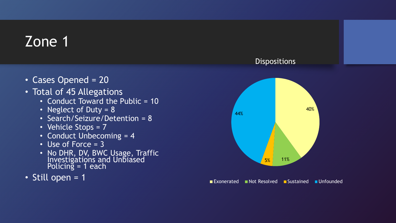- Cases Opened = 20
- Total of 45 Allegations
	- Conduct Toward the Public = 10
	- Neglect of Duty = 8
	- Search/Seizure/Detention = 8
	- Vehicle Stops = 7
	- Conduct Unbecoming = 4
	- $\cdot$  Use of Force = 3
	- No DHR, DV, BWC Usage, Traffic Investigations and Unbiased Policing = 1 each
- Still open = 1





■ Exonerated Not Resolved Bustained Unfounded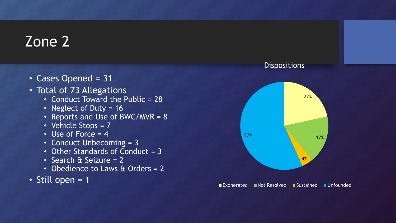- Cases Opened = 31
- Total of 73 Allegations
	- Conduct Toward the Public = 28
	- Neglect of Duty = 16
	- Reports and Use of BWC/MVR = 8
	- Vehicle Stops = 7
	- Use of Force  $= 4$
	- Conduct Unbecoming = 3
	- Other Standards of Conduct = 3
	- Search & Seizure = 2
	- Obedience to Laws & Orders = 2
- Still open = 1

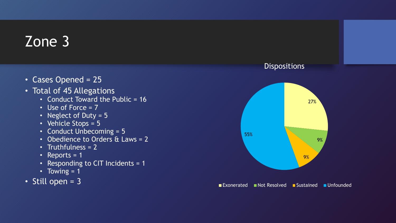- Cases Opened = 25
- Total of 45 Allegations
	- Conduct Toward the Public = 16
	- Use of Force = 7
	- Neglect of Duty = 5
	- Vehicle Stops = 5
	- Conduct Unbecoming = 5
	- Obedience to Orders & Laws = 2
	- Truthfulness = 2
	- Reports  $= 1$
	- Responding to CIT Incidents = 1
	- Towing = 1
- Still open = 3

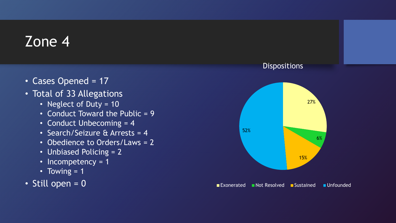- Cases Opened = 17
- Total of 33 Allegations
	- Neglect of Duty = 10
	- Conduct Toward the Public = 9
	- Conduct Unbecoming = 4
	- Search/Seizure & Arrests = 4
	- Obedience to Orders/Laws = 2
	- Unbiased Policing = 2
	- Incompetency = 1
	- Towing  $= 1$
- $\cdot$  Still open = 0

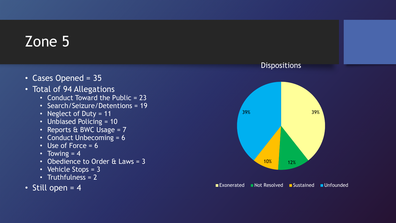- Cases Opened = 35
- Total of 94 Allegations
	- Conduct Toward the Public = 23
	- Search/Seizure/Detentions = 19
	- Neglect of Duty = 11
	- Unbiased Policing = 10
	- Reports & BWC Usage = 7
	- Conduct Unbecoming = 6
	- Use of Force  $= 6$
	- Towing  $= 4$
	- Obedience to Order & Laws = 3
	- Vehicle Stops = 3
	- Truthfulness =  $2$
- Still open  $= 4$





■Exonerated Not Resolved Bustained Unfounded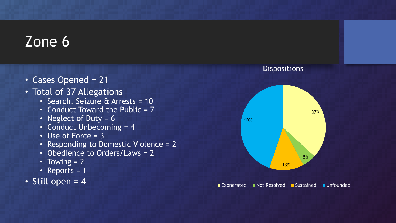- Cases Opened = 21
- Total of 37 Allegations
	- Search, Seizure & Arrests = 10
	- Conduct Toward the Public  $= 7$
	- Neglect of Duty = 6
	- Conduct Unbecoming = 4
	- Use of Force = 3
	- Responding to Domestic Violence = 2
	- Obedience to Orders/Laws = 2
	- Towing = 2
	- Reports = 1
- Still open  $= 4$





■Exonerated Not Resolved Bustained Unfounded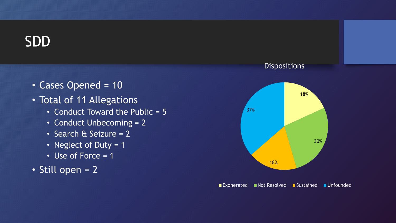### SDD

- Cases Opened = 10
- Total of 11 Allegations
	- Conduct Toward the Public = 5
	- Conduct Unbecoming = 2
	- Search & Seizure = 2
	- Neglect of Duty = 1
	- Use of Force = 1
- Still open = 2

# 18% 30% 18% 37%

**Dispositions** 

Exonerated Not Resolved Sustained Unfounded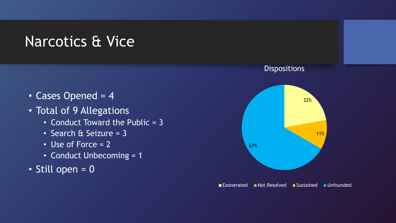### Narcotics & Vice

- Cases Opened = 4
- Total of 9 Allegations
	- Conduct Toward the Public = 3
	- Search & Seizure = 3
	- Use of Force = 2
	- Conduct Unbecoming = 1
- Still open = 0

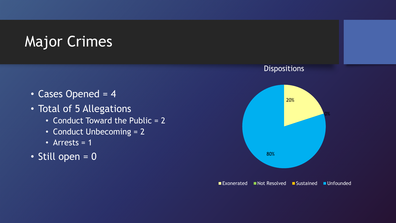# Major Crimes

- Cases Opened = 4
- Total of 5 Allegations
	- Conduct Toward the Public = 2
	- Conduct Unbecoming = 2
	- Arrests  $= 1$
- Still open = 0

#### **Dispositions**



■ Exonerated Not Resolved Bustained Unfounded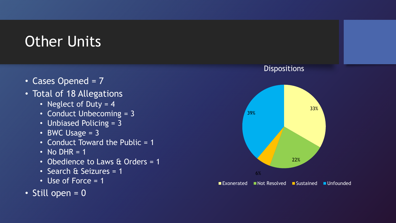# Other Units

- Cases Opened = 7
- Total of 18 Allegations
	- Neglect of Duty = 4
	- Conduct Unbecoming = 3
	- Unbiased Policing = 3
	- BWC Usage  $= 3$
	- Conduct Toward the Public = 1
	- No DHR =  $1$
	- Obedience to Laws & Orders = 1
	- Search & Seizures = 1
	- Use of Force = 1
- Still open = 0



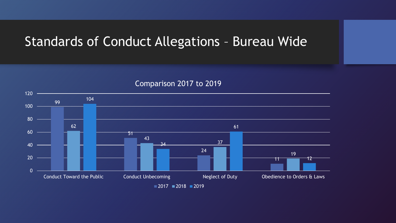### Standards of Conduct Allegations – Bureau Wide



#### Comparison 2017 to 2019

 $2017 = 2018 = 2019$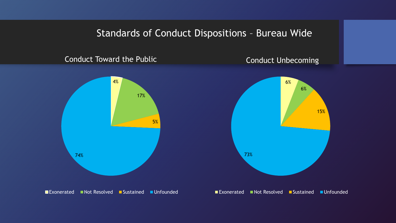### Standards of Conduct Dispositions – Bureau Wide

#### Conduct Toward the Public



#### Conduct Unbecoming



■Exonerated Not Resolved Sustained Unfounded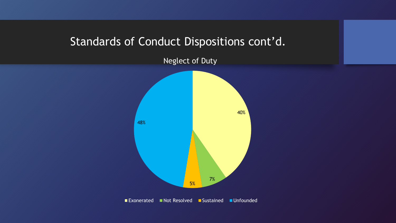### Standards of Conduct Dispositions cont'd.

Neglect of Duty

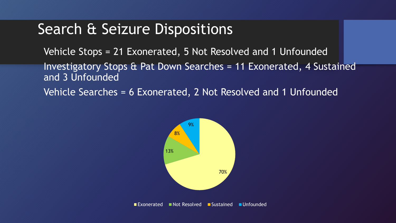### Search & Seizure Dispositions

Vehicle Stops = 21 Exonerated, 5 Not Resolved and 1 Unfounded Investigatory Stops & Pat Down Searches = 11 Exonerated, 4 Sustained and 3 Unfounded

Vehicle Searches = 6 Exonerated, 2 Not Resolved and 1 Unfounded



Exonerated Not Resolved Sustained Unfounded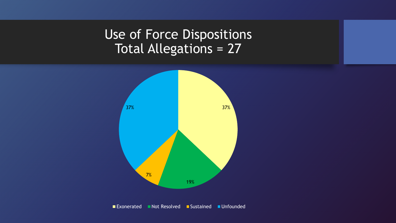### Use of Force Dispositions Total Allegations = 27



■ Exonerated Not Resolved Sustained Unfounded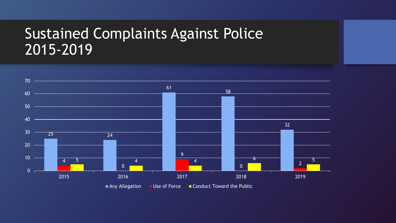### Sustained Complaints Against Police 2015-2019

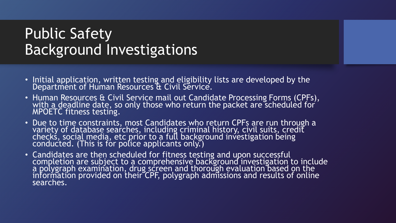### Public Safety Background Investigations

- Initial application, written testing and eligibility lists are developed by the Department of Human Resources & Civil Service.
- Human Resources & Civil Service mail out Candidate Processing Forms (CPFs), with a deadline date, so only those who return the packet are scheduled for  $\dot{}$ MPOETC fitness testing.
- Due to time constraints, most Candidates who return CPFs are run through a variety of database searches, including criminal history, civil suits, credit checkś, social medią, etc prior to a full background investigation being conducted. (This is for police applicants only.)
- Candidates are then scheduled for fitness testing and upon successful completion are subject to a comprehensive background investigation to include a polygraph examination, drug screen and thorough evaluation based on the information provided on their CPF, polygraph admissions and results of online searches.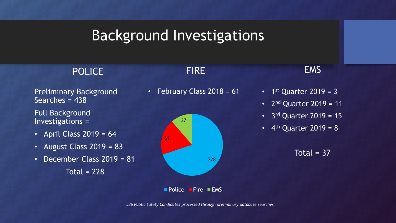### Background Investigations

### POLICE

Preliminary Background Searches = 438

Full Background Investigations =

- April Class  $2019 = 64$
- August Class  $2019 = 83$
- December Class 2019 = 81 Total  $= 228$



**FIRE** 



### EMS

- $1<sup>st</sup>$  Quarter 2019 = 3
- $2<sup>nd</sup>$  Quarter 2019 = 11
- 3<sup>rd</sup> Quarter 2019 = 15
- 4<sup>th</sup> Quarter 2019 = 8

Total =  $37$ 

 $\blacksquare$  Police  $\blacksquare$  Fire  $\blacksquare$  EMS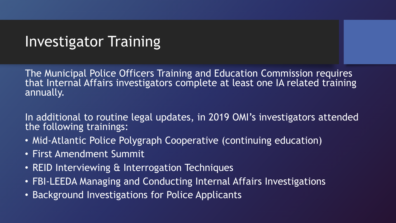### Investigator Training

The Municipal Police Officers Training and Education Commission requires that Internal Affairs investigators complete at least one IA related training annually.

In additional to routine legal updates, in 2019 OMI's investigators attended the following trainings:

- Mid-Atlantic Police Polygraph Cooperative (continuing education)
- First Amendment Summit
- REID Interviewing & Interrogation Techniques
- FBI-LEEDA Managing and Conducting Internal Affairs Investigations
- Background Investigations for Police Applicants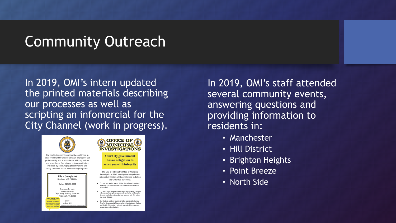### Community Outreach

In 2019, OMI's intern updated the printed materials describing our processes as well as scripting an infomercial for the City Channel (work in progress).



Our goal is to promote community confidence in city government by ensuring that all employees act professionally and in accordance with city policies and procedures. Our mission is to prevent future incidents by encouraging proper training and taking corrective action when training is ignored





**Your City government** has an obligation to serve you with integrity

The City of Pittsburgh's Office of Municipal Investigations (OMI) investigates allegations of misconduct against all city employees, including any uniformed personnel.

- . Our process begins when a civilian files a formal complaint against a City employee who they believe has engaged in misconduct
- . Our team of experienced investigators will gather documents, witness and/or employee statements and other evidence to determine whether misconduct has occured or if City policy has been violated.
- Our findings are then forwarded to the appropriate Bureau Chief or Departmental Director, who will evaluate our findings and decide if disciplinary action is warranted (i.e retraining, suspension, or termination)

In 2019, OMI's staff attended several community events, answering questions and providing information to residents in:

- Manchester
- Hill District
- Brighton Heights
- Point Breeze
- North Side